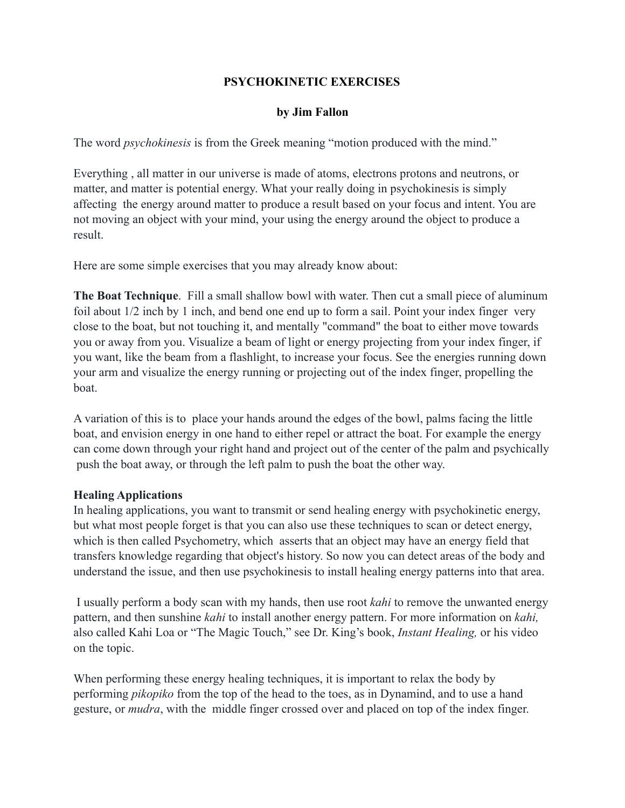## **PSYCHOKINETIC EXERCISES**

## **by Jim Fallon**

The word *psychokinesis* is from the Greek meaning "motion produced with the mind."

Everything , all matter in our universe is made of atoms, electrons protons and neutrons, or matter, and matter is potential energy. What your really doing in psychokinesis is simply affecting the energy around matter to produce a result based on your focus and intent. You are not moving an object with your mind, your using the energy around the object to produce a result.

Here are some simple exercises that you may already know about:

**The Boat Technique**. Fill a small shallow bowl with water. Then cut a small piece of aluminum foil about 1/2 inch by 1 inch, and bend one end up to form a sail. Point your index finger very close to the boat, but not touching it, and mentally "command" the boat to either move towards you or away from you. Visualize a beam of light or energy projecting from your index finger, if you want, like the beam from a flashlight, to increase your focus. See the energies running down your arm and visualize the energy running or projecting out of the index finger, propelling the boat.

A variation of this is to place your hands around the edges of the bowl, palms facing the little boat, and envision energy in one hand to either repel or attract the boat. For example the energy can come down through your right hand and project out of the center of the palm and psychically push the boat away, or through the left palm to push the boat the other way.

## **Healing Applications**

In healing applications, you want to transmit or send healing energy with psychokinetic energy, but what most people forget is that you can also use these techniques to scan or detect energy, which is then called Psychometry, which asserts that an object may have an energy field that transfers knowledge regarding that object's history. So now you can detect areas of the body and understand the issue, and then use psychokinesis to install healing energy patterns into that area.

 I usually perform a body scan with my hands, then use root *kahi* to remove the unwanted energy pattern, and then sunshine *kahi* to install another energy pattern. For more information on *kahi,* also called Kahi Loa or "The Magic Touch," see Dr. King's book, *Instant Healing,* or his video on the topic.

When performing these energy healing techniques, it is important to relax the body by performing *pikopiko* from the top of the head to the toes, as in Dynamind, and to use a hand gesture, or *mudra*, with the middle finger crossed over and placed on top of the index finger.